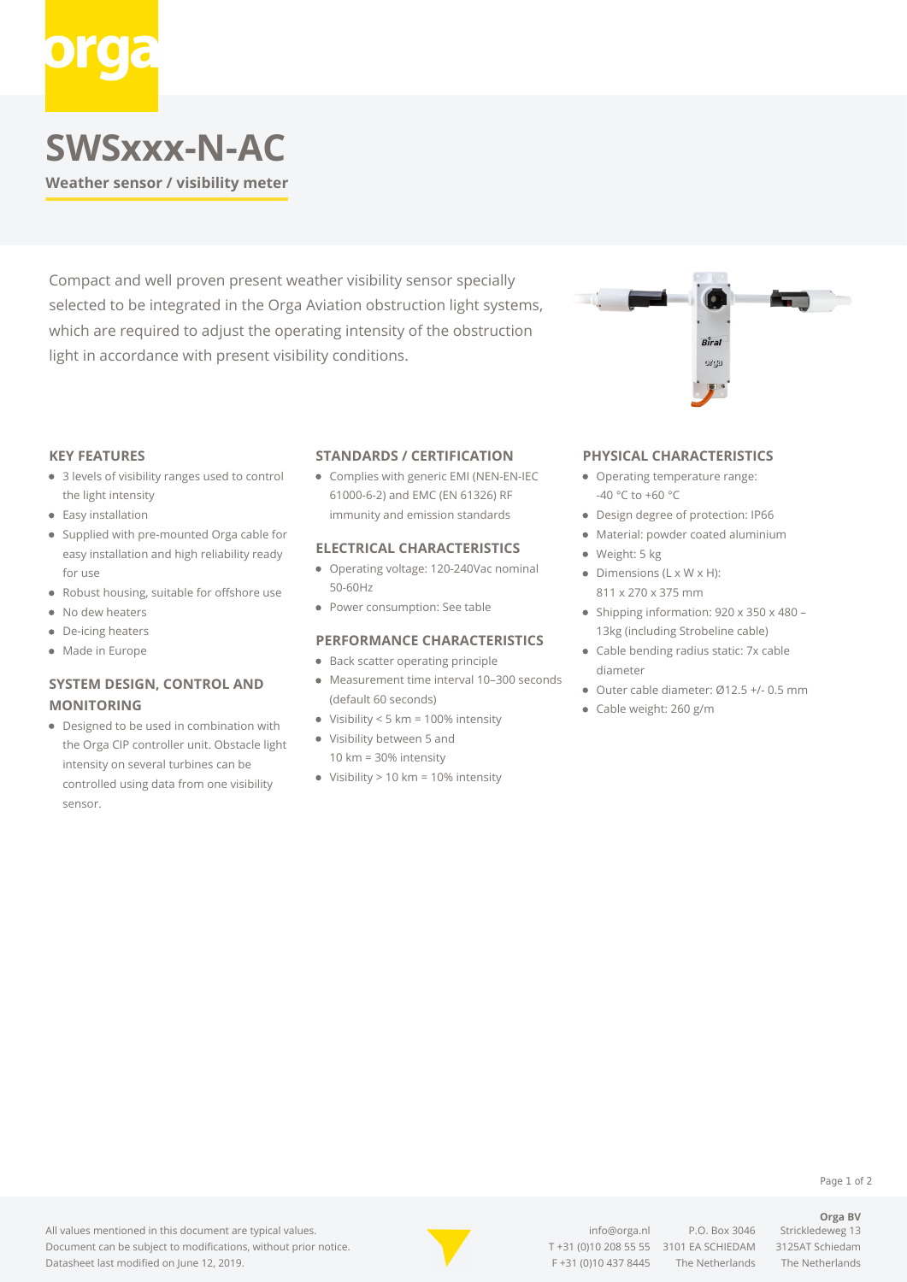# **SWSxxx-N-AC**

**Weather sensor / visibility meter**

Compact and well proven present weather visibility sensor specially selected to be integrated in the Orga Aviation obstruction light systems, which are required to adjust the operating intensity of the obstruction light in accordance with present visibility conditions.

#### **KEY FEATURES**

- 3 levels of visibility ranges used to control the light intensity
- Easy installation
- Supplied with pre-mounted Orga cable for easy installation and high reliability ready for use
- Robust housing, suitable for offshore use
- No dew heaters
- $\bullet$ De-icing heaters
- Made in Europe

### **SYSTEM DESIGN, CONTROL AND MONITORING**

Designed to be used in combination with the Orga CIP controller unit. Obstacle light intensity on several turbines can be controlled using data from one visibility sensor.

#### **STANDARDS / CERTIFICATION**

Complies with generic EMI (NEN-EN-IEC 61000-6-2) and EMC (EN 61326) RF immunity and emission standards

#### **ELECTRICAL CHARACTERISTICS**

- Operating voltage: 120-240Vac nominal 50-60Hz
- Power consumption: See table

#### **PERFORMANCE CHARACTERISTICS**

- Back scatter operating principle
- Measurement time interval 10–300 seconds (default 60 seconds)
- Visibility < 5 km = 100% intensity
- Visibility between 5 and
	- 10 km = 30% intensity
- $\bullet$  Visibility > 10 km = 10% intensity

#### **PHYSICAL CHARACTERISTICS**

- Operating temperature range: -40 °C to +60 °C
- Design degree of protection: IP66
- Material: powder coated aluminium
- · Weight: 5 kg
- $\bullet$  Dimensions (L x W x H): 811 x 270 x 375 mm
- Shipping information:  $920 \times 350 \times 480$  13kg (including Strobeline cable)
- Cable bending radius static: 7x cable diameter
- Outer cable diameter: Ø12.5 +/- 0.5 mm
- Cable weight: 260 g/m



[info@orga.nl](mailto:info@orga.nl) P.O. Box 3046 Strickledeweg 13 T [+31 \(0\)10 208 55 55](#page--1-0) 3101 EA SCHIEDAM 3125AT Schiedam F +31 (0)10 437 8445 The Netherlands The Netherlands

### Page 1 of 2 **Orga BV**